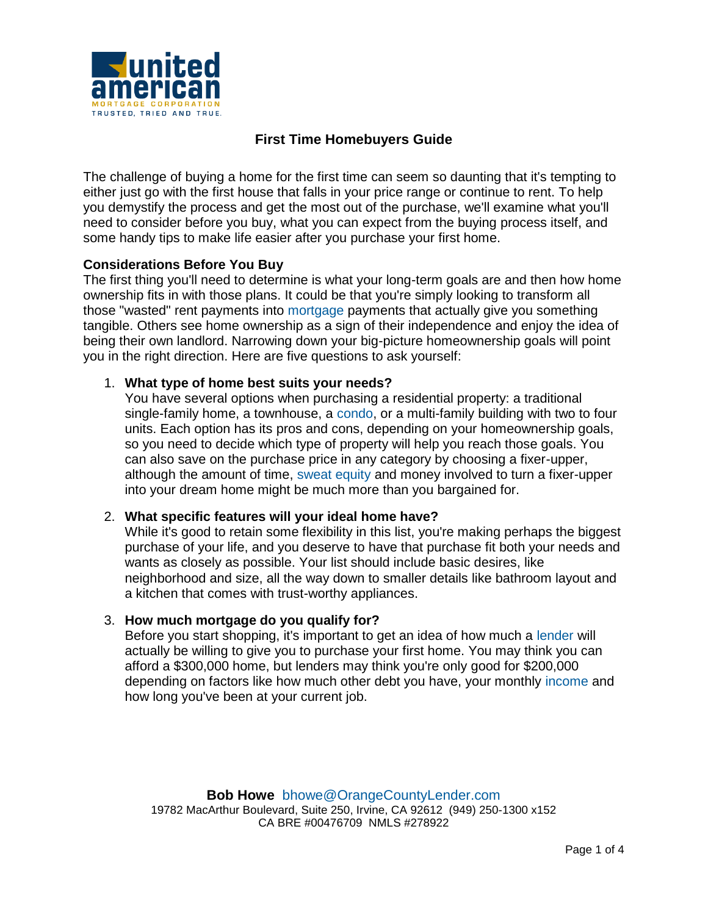

# **First Time Homebuyers Guide**

The challenge of buying a home for the first time can seem so daunting that it's tempting to either just go with the first house that falls in your price range or continue to rent. To help you demystify the process and get the most out of the purchase, we'll examine what you'll need to consider before you buy, what you can expect from the buying process itself, and some handy tips to make life easier after you purchase your first home.

### Considerations Before You Buy

The first thing you'll need to determine is what your long-term goals are and then how home ownership fits in with those plans. It could be that you're simply looking to transform all those "wasted" rent payments into [mortgage](http://www.investopedia.com/terms/m/mortgage.asp) payments that actually give you something tangible. Others see home ownership as a sign of their independence and enjoy the idea of being their own landlord. Narrowing down your big-picture homeownership goals will point you in the right direction. Here are five questions to ask yourself:

1. *What type of home best suits your needs?*

You have several options when purchasing a residential property: a traditional single-family home, a townhouse, a [condo,](http://www.investopedia.com/terms/c/condominium.asp) or a multi-family building with two to four units. Each option has its pros and cons, depending on your homeownership goals, so you need to decide which type of property will help you reach those goals. You can also save on the purchase price in any category by choosing a fixer-upper, although the amount of time, [sweat equity](http://www.investopedia.com/terms/s/sweatequity.asp) and money involved to turn a fixer-upper into your dream home might be much more than you bargained for.

- 2. *What specific features will your ideal home have?* While it's good to retain some flexibility in this list, you're making perhaps the biggest purchase of your life, and you deserve to have that purchase fit both your needs and wants as closely as possible. Your list should include basic desires, like neighborhood and size, all the way down to smaller details like bathroom layout and a kitchen that comes with trust-worthy appliances.
- 3. *How much mortgage do you qualify for?* Before you start shopping, it's important to get an idea of how much a [lender](http://investopedia.com/terms/r/retail_lender.asp) will actually be willing to give you to purchase your first home. You may think you can afford a \$300,000 home, but lenders may think you're only good for \$200,000 depending on factors like how much other debt you have, your monthly [income](http://www.investopedia.com/terms/i/income.asp) and how long you've been at your current job.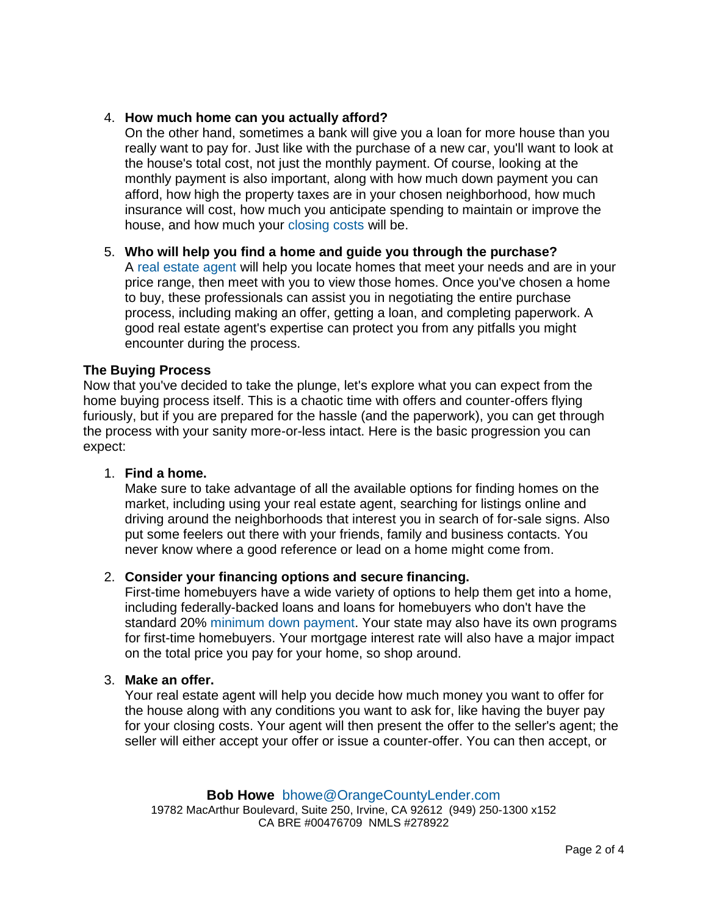- 4. *How much home can you actually afford?*
	- On the other hand, sometimes a bank will give you a loan for more house than you really want to pay for. Just like with the purchase of a new car, you'll want to look at the house's total cost, not just the monthly payment. Of course, looking at the monthly payment is also important, along with how much down payment you can afford, how high the property taxes are in your chosen neighborhood, how much insurance will cost, how much you anticipate spending to maintain or improve the house, and how much your [closing costs](http://www.investopedia.com/terms/c/closingcosts.asp) will be.
- 5. *Who will help you find a home and guide you through the purchase?* A [real estate](http://www.investopedia.com/terms/r/realestateagent.asp) agent will help you locate homes that meet your needs and are in your price range, then meet with you to view those homes. Once you've chosen a home to buy, these professionals can assist you in negotiating the entire purchase process, including making an offer, getting a loan, and completing paperwork. A good real estate agent's expertise can protect you from any pitfalls you might encounter during the process.

### The Buying Process

Now that you've decided to take the plunge, let's explore what you can expect from the home buying process itself. This is a chaotic time with offers and counter-offers flying furiously, but if you are prepared for the hassle (and the paperwork), you can get through the process with your sanity more-or-less intact. Here is the basic progression you can expect:

1. *Find a home.*

Make sure to take advantage of all the available options for finding homes on the market, including using your real estate agent, searching for listings online and driving around the neighborhoods that interest you in search of for-sale signs. Also put some feelers out there with your friends, family and business contacts. You never know where a good reference or lead on a home might come from.

2. *Consider your financing options and secure financing.*

First-time homebuyers have a wide variety of options to help them get into a home, including federally-backed loans and loans for homebuyers who don't have the standard 20% [minimum down payment.](http://www.investopedia.com/terms/m/minimum_down_payment.asp) Your state may also have its own programs for first-time homebuyers. Your mortgage interest rate will also have a major impact on the total price you pay for your home, so shop around.

3. *Make an offer.*

Your real estate agent will help you decide how much money you want to offer for the house along with any conditions you want to ask for, like having the buyer pay for your closing costs. Your agent will then present the offer to the seller's agent; the seller will either accept your offer or issue a counter-offer. You can then accept, or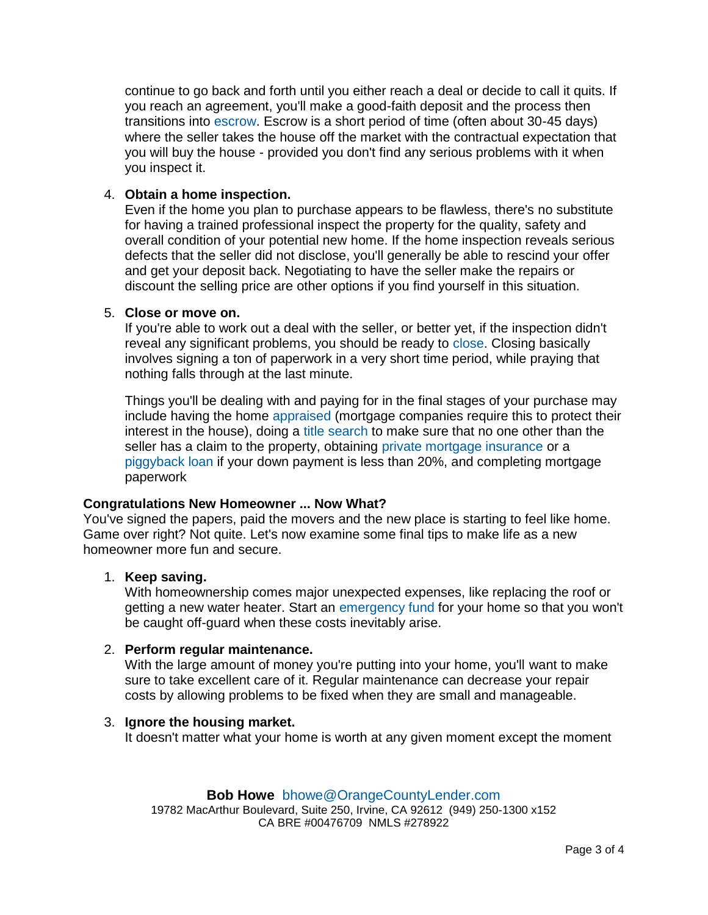continue to go back and forth until you either reach a deal or decide to call it quits. If you reach an agreement, you'll make a good-faith deposit and the process then transitions into [escrow.](http://www.investopedia.com/terms/e/escrow.asp) Escrow is a short period of time (often about 30-45 days) where the seller takes the house off the market with the contractual expectation that you will buy the house - provided you don't find any serious problems with it when you inspect it.

4. *Obtain a home inspection.*

Even if the home you plan to purchase appears to be flawless, there's no substitute for having a trained professional inspect the property for the quality, safety and overall condition of your potential new home. If the home inspection reveals serious defects that the seller did not disclose, you'll generally be able to rescind your offer and get your deposit back. Negotiating to have the seller make the repairs or discount the selling price are other options if you find yourself in this situation.

5. *Close or move on.*

If you're able to work out a deal with the seller, or better yet, if the inspection didn't reveal any significant problems, you should be ready to [close.](http://www.investopedia.com/terms/c/close.asp) Closing basically involves signing a ton of paperwork in a very short time period, while praying that nothing falls through at the last minute.

Things you'll be dealing with and paying for in the final stages of your purchase may include having the home [appraised](http://www.investopedia.com/terms/a/appraised_value.asp) (mortgage companies require this to protect their interest in the house), doing a [title search](http://www.investopedia.com/terms/t/titlesearch.asp) to make sure that no one other than the seller has a claim to the property, obtaining [private mortgage insurance](http://www.investopedia.com/terms/p/privatemortgageinsurance.asp) or a [piggyback loan](http://www.investopedia.com/terms/p/piggy_back_mortgage.asp) if your down payment is less than 20%, and completing mortgage paperwork

## Congratulations New Homeowner ... Now What?

You've signed the papers, paid the movers and the new place is starting to feel like home. Game over right? Not quite. Let's now examine some final tips to make life as a new homeowner more fun and secure.

1. *Keep saving.*

With homeownership comes major unexpected expenses, like replacing the roof or getting a new water heater. Start an [emergency fund](http://www.investopedia.com/terms/e/emergency_fund.asp) for your home so that you won't be caught off-guard when these costs inevitably arise.

2. *Perform regular maintenance.*

With the large amount of money you're putting into your home, you'll want to make sure to take excellent care of it. Regular maintenance can decrease your repair costs by allowing problems to be fixed when they are small and manageable.

3. *Ignore the housing market.* It doesn't matter what your home is worth at any given moment except the moment

## **Bob Howe** [bhowe@OrangeCountyLender.com](mailto:bhowe@OrangeCountyLender.com)

19782 MacArthur Boulevard, Suite 250, Irvine, CA 92612 (949) 250-1300 x152 CA BRE #00476709 NMLS #278922